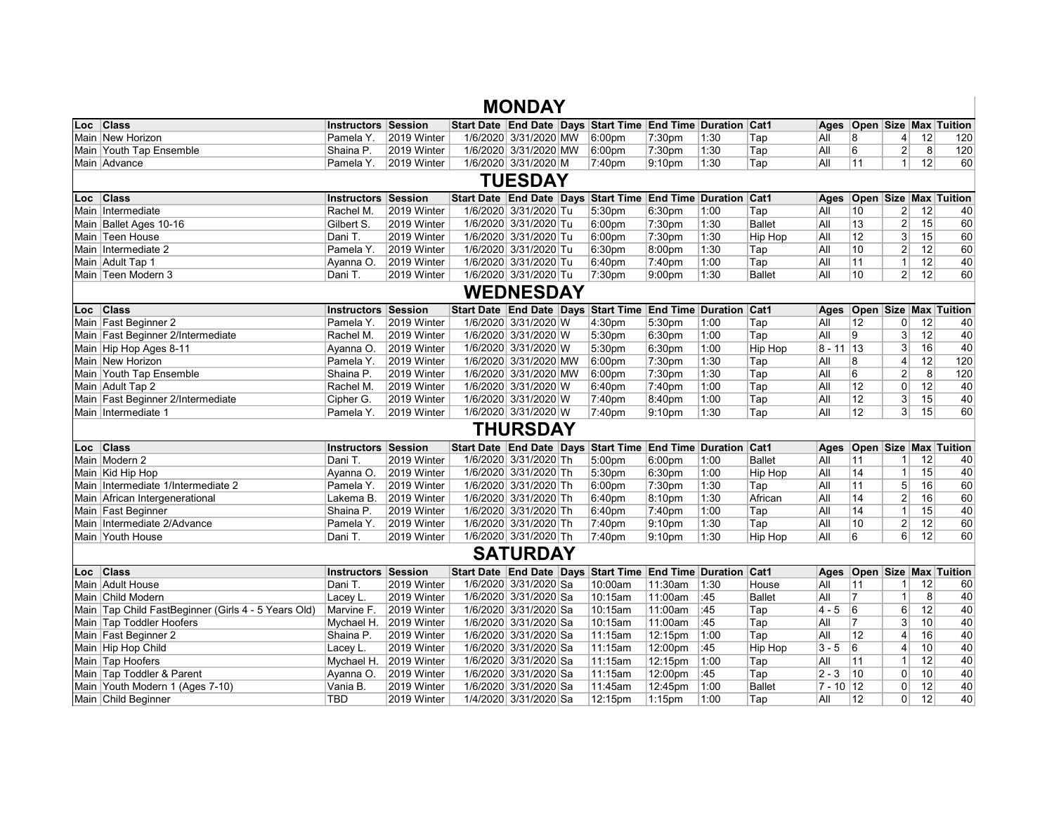|                                                     |                            |                        | <b>MONDAY</b>         |                                                            |                    |      |                |              |                   |                         |    |                                    |
|-----------------------------------------------------|----------------------------|------------------------|-----------------------|------------------------------------------------------------|--------------------|------|----------------|--------------|-------------------|-------------------------|----|------------------------------------|
| Loc Class                                           | <b>Instructors Session</b> |                        |                       | Start Date End Date Days Start Time End Time Duration Cat1 |                    |      |                |              |                   |                         |    | Ages   Open   Size   Max   Tuition |
| Main New Horizon                                    | Pamela Y.                  | 2019 Winter            | 1/6/2020 3/31/2020 MW | 6:00 <sub>pm</sub>                                         | 7:30pm             | 1:30 | Tap            | All          | 8                 | $\vert 4 \vert$         | 12 | 120                                |
| Main Youth Tap Ensemble                             | Shaina P.                  | 2019 Winter            | 1/6/2020 3/31/2020 MW | 6:00 <sub>pm</sub>                                         | 7:30 <sub>pm</sub> | 1:30 | Tap            | All          | 6                 | $\overline{2}$          | 8  | 120                                |
| Main Advance                                        | Pamela Y.                  | 2019 Winter            | 1/6/2020 3/31/2020 M  | 7:40pm                                                     | 9:10pm             | 1:30 | Tap            | All          | 11                | 1                       | 12 | 60                                 |
|                                                     |                            |                        | <b>TUESDAY</b>        |                                                            |                    |      |                |              |                   |                         |    |                                    |
| Loc Class                                           | <b>Instructors Session</b> |                        |                       | Start Date End Date Days Start Time End Time Duration Cat1 |                    |      |                | Ages         |                   |                         |    | Open Size Max Tuition              |
| Main Intermediate                                   | Rachel M.                  | 2019 Winter            | 1/6/2020 3/31/2020 Tu | 5:30pm                                                     | 6:30pm             | 1:00 | Tap            | All          | 10                | $\overline{2}$          | 12 | 40                                 |
| Main Ballet Ages 10-16                              | Gilbert S.                 | 2019 Winter            | 1/6/2020 3/31/2020 Tu | 6:00pm                                                     | 7:30pm             | 1:30 | <b>Ballet</b>  | All          | 13                | 2                       | 15 | 60                                 |
| Main Teen House                                     | Dani T.                    | 2019 Winter            | 1/6/2020 3/31/2020 Tu | 6:00pm                                                     | 7:30pm             | 1:30 | <b>Hip Hop</b> | aii          | 12                | $3\vert$                | 15 | 60                                 |
| Main Intermediate 2                                 | Pamela Y.                  | 2019 Winter            | 1/6/2020 3/31/2020 Tu | 6:30pm                                                     | 8:00pm             | 1:30 | Tap            | All          | 10                | 2                       | 12 | 60                                 |
| Main Adult Tap 1                                    | Ayanna O.                  | 2019 Winter            | 1/6/2020 3/31/2020 Tu | 6:40pm                                                     | 7:40pm             | 1:00 | Tap            | All          | 11                | 1                       | 12 | 40                                 |
| Main Teen Modern 3                                  | Dani T.                    | 2019 Winter            | 1/6/2020 3/31/2020 Tu | 7:30pm                                                     | 9:00 <sub>pm</sub> | 1:30 | <b>Ballet</b>  | All          | 10                | $\mathbf{2}$            | 12 | 60                                 |
|                                                     |                            |                        | <b>WEDNESDAY</b>      |                                                            |                    |      |                |              |                   |                         |    |                                    |
| Loc Class                                           | <b>Instructors Session</b> |                        |                       | Start Date End Date Days Start Time End Time Duration Cat1 |                    |      |                | Ages         |                   |                         |    | <b>Open Size Max Tuition</b>       |
| Main Fast Beginner 2                                | Pamela Y.                  | 2019 Winter            | 1/6/2020 3/31/2020 W  | 4:30pm                                                     | 5:30pm             | 1:00 | Tap            | All          | $12 \overline{ }$ | 0                       | 12 | 40                                 |
| Main Fast Beginner 2/Intermediate                   | Rachel M.                  | 2019 Winter            | 1/6/2020 3/31/2020 W  | 5:30pm                                                     | 6:30pm             | 1:00 | Tap            | All          | 9                 | 3 <sup>1</sup>          | 12 | 40                                 |
| Main Hip Hop Ages 8-11                              | Ayanna O.                  | 2019 Winter            | 1/6/2020 3/31/2020 W  | 5:30pm                                                     | 6:30pm             | 1:00 | Hip Hop        | $8 - 11$ 13  |                   | 3                       | 16 | 40                                 |
| Main New Horizon                                    | Pamela Y.                  | 2019 Winter            | 1/6/2020 3/31/2020 MW | 6:00pm                                                     | 7:30pm             | 1:30 | Tap            | All          | 8                 | 4                       | 12 | 120                                |
| Main Youth Tap Ensemble                             | Shaina P.                  | 2019 Winter            | 1/6/2020 3/31/2020 MW | 6:00pm                                                     | 7:30 <sub>pm</sub> | 1:30 | Tap            | aii          | 6                 | $\overline{\mathbf{c}}$ | 8  | 120                                |
| Main Adult Tap 2                                    | Rachel M.                  | 2019 Winter            | 1/6/2020 3/31/2020 W  | 6:40pm                                                     | 7:40pm             | 1:00 | Tap            | All          | 12                | 0                       | 12 | 40                                 |
| Main Fast Beginner 2/Intermediate                   | Cipher G.                  | 2019 Winter            | 1/6/2020 3/31/2020 W  | 7:40pm                                                     | 8:40pm             | 1:00 | Tap            | All          | 12                | $3\vert$                | 15 | 40                                 |
| Main   Intermediate 1                               | Pamela Y.                  | 2019 Winter            | 1/6/2020 3/31/2020 W  | 7:40pm                                                     | 9:10 <sub>pm</sub> | 1:30 | Tap            | All          | 12                | 3                       | 15 | 60                                 |
|                                                     |                            |                        | THURSDAY              |                                                            |                    |      |                |              |                   |                         |    |                                    |
| Loc Class                                           | <b>Instructors Session</b> |                        |                       | Start Date End Date Days Start Time End Time Duration Cat1 |                    |      |                | Ages         |                   |                         |    | <b>Open Size Max Tuition</b>       |
| Main Modern 2                                       | Dani T.                    | 2019 Winter            | 1/6/2020 3/31/2020 Th | 5:00pm                                                     | 6:00 <sub>pm</sub> | 1:00 | <b>Ballet</b>  | All          | 11                | 1 <sup>1</sup>          | 12 | 40                                 |
| Main Kid Hip Hop                                    | Ayanna O.                  | 2019 Winter            | 1/6/2020 3/31/2020 Th | 5:30pm                                                     | 6:30pm             | 1:00 | Hip Hop        | All          | 14                | 1                       | 15 | 40                                 |
| Main Intermediate 1/Intermediate 2                  | Pamela Y.                  | 2019 Winter            | 1/6/2020 3/31/2020 Th | 6:00pm                                                     | 7:30pm             | 1:30 | Tap            | All          | 11                | 5 <sup>5</sup>          | 16 | 60                                 |
| Main African Intergenerational                      | Lakema B.                  | 2019 Winter            | 1/6/2020 3/31/2020 Th | 6:40pm                                                     | 8:10pm             | 1:30 | African        | All          | 14                | 2                       | 16 | 60                                 |
| Main Fast Beginner                                  | Shaina P.                  | 2019 Winter            | 1/6/2020 3/31/2020 Th | 6:40pm                                                     | 7:40pm             | 1:00 | Tap            | All          | 14                | $\mathbf{1}$            | 15 | 40                                 |
| Main Intermediate 2/Advance                         | Pamela Y.                  | 2019 Winter            | 1/6/2020 3/31/2020 Th | 7:40pm                                                     | 9:10 <sub>pm</sub> | 1:30 | Tap            | All          | 10                | 2                       | 12 | 60                                 |
| Main Youth House                                    | Dani T.                    | 2019 Winter            | 1/6/2020 3/31/2020 Th | 7:40pm                                                     | 9:10pm             | 1:30 | Hip Hop        | All          | 6                 | 6                       | 12 | 60                                 |
|                                                     |                            |                        | <b>SATURDAY</b>       |                                                            |                    |      |                |              |                   |                         |    |                                    |
| Loc Class                                           | <b>Instructors Session</b> |                        |                       | Start Date End Date Days Start Time End Time Duration Cat1 |                    |      |                |              |                   |                         |    | Ages Open Size Max Tuition         |
| Main Adult House                                    | Dani T.                    | 2019 Winter            | 1/6/2020 3/31/2020 Sa | 10:00am                                                    | 11:30am            | 1:30 | House          | aii          | 11                | 1 <sup>1</sup>          | 12 | 60                                 |
| Main Child Modern                                   | Lacey L.                   | 2019 Winter            | 1/6/2020 3/31/2020 Sa | 10:15am                                                    | 11:00am            | :45  | <b>Ballet</b>  | All          | 7                 | 1                       | 8  | 40                                 |
| Main Tap Child FastBeginner (Girls 4 - 5 Years Old) | Marvine F.                 | 2019 Winter            | 1/6/2020 3/31/2020 Sa | 10:15am                                                    | 11:00am            | :45  | Tap            | 4 - 5        | 6                 | $6 \mid$                | 12 | 40                                 |
| Main Tap Toddler Hoofers                            |                            | Mychael H. 2019 Winter | 1/6/2020 3/31/2020 Sa | 10:15am                                                    | 11:00am            | :45  | Tap            | All          | $\overline{7}$    | 3 <sup>1</sup>          | 10 | 40                                 |
| Main Fast Beginner 2                                | Shaina P.                  | 2019 Winter            | 1/6/2020 3/31/2020 Sa | 11:15am                                                    | 12:15pm            | 1:00 | Tap            | All          | 12                | 4                       | 16 | 40                                 |
| Main Hip Hop Child                                  | Lacey L.                   | 2019 Winter            | 1/6/2020 3/31/2020 Sa | 11:15am                                                    | 12:00pm            | :45  | Hip Hop        | $3 - 5$      | 6                 | 4                       | 10 | 40                                 |
| Main Tap Hoofers                                    |                            | Mychael H. 2019 Winter | 1/6/2020 3/31/2020 Sa | 11:15am                                                    | 12:15pm            | 1:00 | Tap            | All          | 11                | $\mathbf{1}$            | 12 | 40                                 |
| Main Tap Toddler & Parent                           | Ayanna O.                  | 2019 Winter            | 1/6/2020 3/31/2020 Sa | 11:15am                                                    | 12:00pm            | :45  | Tap            | $ 2 - 3 $    | 10                | 0                       | 10 | 40                                 |
| Main Youth Modern 1 (Ages 7-10)                     | Vania B.                   | 2019 Winter            | 1/6/2020 3/31/2020 Sa | 11:45am                                                    | 12:45pm            | 1:00 | <b>Ballet</b>  | $ 7 - 10 12$ |                   | 0                       | 12 | 40                                 |
| Main Child Beginner                                 | <b>TBD</b>                 | 2019 Winter            | 1/4/2020 3/31/2020 Sa | 12:15pm                                                    | $1:15$ pm          | 1:00 | Tap            | All          | 12                | $\Omega$                | 12 | 40                                 |